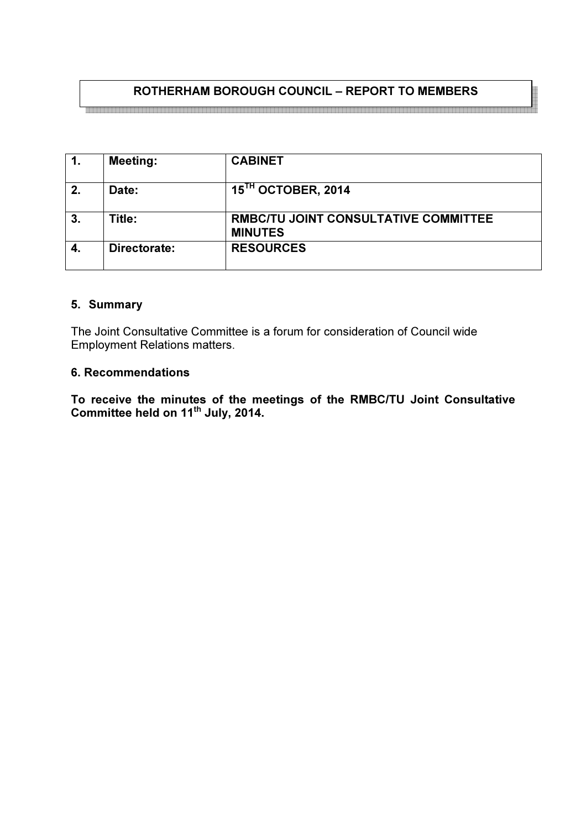# ROTHERHAM BOROUGH COUNCIL – REPORT TO MEMBERS

|    | <b>Meeting:</b> | <b>CABINET</b>                                                |
|----|-----------------|---------------------------------------------------------------|
| 2. | Date:           | $15TH$ OCTOBER, 2014                                          |
| 3. | Title:          | <b>RMBC/TU JOINT CONSULTATIVE COMMITTEE</b><br><b>MINUTES</b> |
| 4. | Directorate:    | <b>RESOURCES</b>                                              |

#### 5. Summary

The Joint Consultative Committee is a forum for consideration of Council wide Employment Relations matters.

#### 6. Recommendations

To receive the minutes of the meetings of the RMBC/TU Joint Consultative Committee held on 11 $^{\text{th}}$  July, 2014.